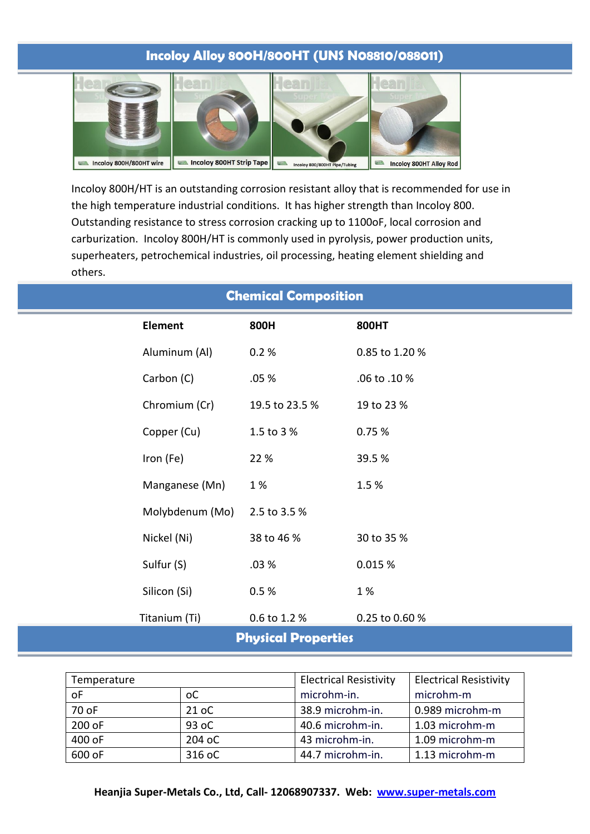# **Incoloy Alloy 800H/800HT (UNS N08810/088011)**



Incoloy 800H/HT is an outstanding corrosion resistant alloy that is recommended for use in the high temperature industrial conditions. It has higher strength than Incoloy 800. Outstanding resistance to stress corrosion cracking up to 1100oF, local corrosion and carburization. Incoloy 800H/HT is commonly used in pyrolysis, power production units, superheaters, petrochemical industries, oil processing, heating element shielding and others.

| <b>Chemical Composition</b> |                 |                |                |  |  |
|-----------------------------|-----------------|----------------|----------------|--|--|
|                             | <b>Element</b>  | 800H           | 800HT          |  |  |
|                             | Aluminum (Al)   | 0.2%           | 0.85 to 1.20 % |  |  |
|                             | Carbon (C)      | .05 %          | .06 to .10 %   |  |  |
|                             | Chromium (Cr)   | 19.5 to 23.5 % | 19 to 23 %     |  |  |
|                             | Copper (Cu)     | 1.5 to 3 %     | 0.75 %         |  |  |
|                             | Iron (Fe)       | 22 %           | 39.5%          |  |  |
|                             | Manganese (Mn)  | 1%             | 1.5%           |  |  |
|                             | Molybdenum (Mo) | 2.5 to 3.5 %   |                |  |  |
|                             | Nickel (Ni)     | 38 to 46 %     | 30 to 35 %     |  |  |
|                             | Sulfur (S)      | .03%           | 0.015 %        |  |  |
|                             | Silicon (Si)    | 0.5%           | 1 %            |  |  |
|                             | Titanium (Ti)   | 0.6 to 1.2 %   | 0.25 to 0.60 % |  |  |
| <b>Physical Properties</b>  |                 |                |                |  |  |

| Temperature |        | <b>Electrical Resistivity</b> | <b>Electrical Resistivity</b> |
|-------------|--------|-------------------------------|-------------------------------|
| оF          | оC     | microhm-in.                   | microhm-m                     |
| 70 oF       | 21 oC  | 38.9 microhm-in.              | 0.989 microhm-m               |
| $200$ oF    | 93 oC  | 40.6 microhm-in.              | 1.03 microhm-m                |
| 400 oF      | 204 oC | 43 microhm-in.                | 1.09 microhm-m                |
| 600 oF      | 316 oC | 44.7 microhm-in.              | 1.13 microhm-m                |

**Heanjia Super-Metals Co., Ltd, Call- 12068907337. Web: www.super-metals.com**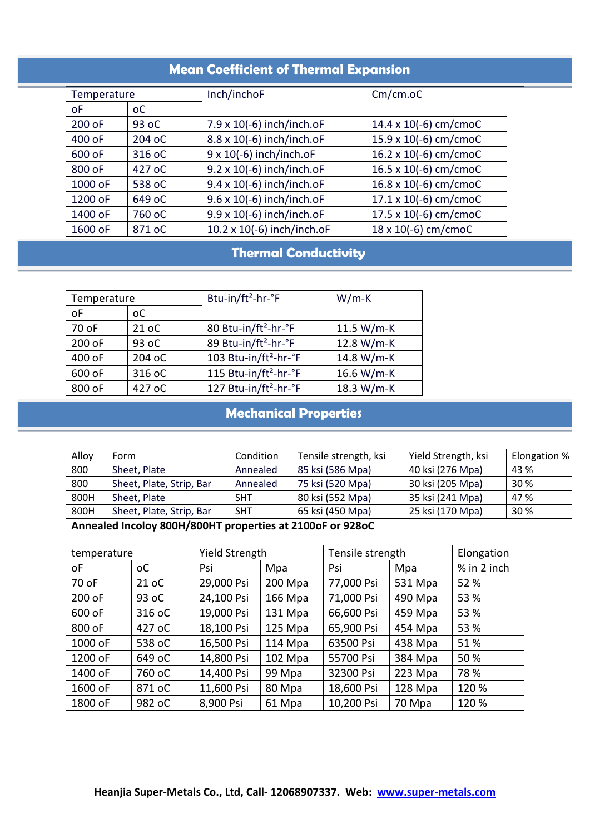### **Mean Coefficient of Thermal Expansion**

| Temperature |        | Inch/inchoF                      | $Cm/cm.$ oC                  |
|-------------|--------|----------------------------------|------------------------------|
| οF          | оC     |                                  |                              |
| 200 oF      | 93 oC  | 7.9 x 10(-6) inch/inch.oF        | 14.4 x 10(-6) cm/cmoC        |
| 400 oF      | 204 oC | 8.8 x 10(-6) inch/inch.oF        | 15.9 x 10(-6) cm/cmoC        |
| 600 oF      | 316 oC | $9 \times 10(-6)$ inch/inch.oF   | 16.2 x 10(-6) cm/cmoC        |
| 800 oF      | 427 oC | 9.2 x 10(-6) inch/inch.oF        | 16.5 x 10(-6) cm/cmoC        |
| 1000 oF     | 538 oC | 9.4 x 10(-6) inch/inch.oF        | 16.8 x 10(-6) cm/cmoC        |
| 1200 oF     | 649 oC | $9.6 \times 10(-6)$ inch/inch.oF | $17.1 \times 10(-6)$ cm/cmoC |
| 1400 oF     | 760 oC | 9.9 x 10(-6) inch/inch.oF        | 17.5 x 10(-6) cm/cmoC        |
| 1600 oF     | 871 oC | 10.2 x 10(-6) inch/inch.oF       | 18 x 10(-6) cm/cmoC          |

# **Thermal Conductivity**

| Temperature |        | Btu-in/ft <sup>2</sup> -hr-°F     | $W/m-K$    |  |
|-------------|--------|-----------------------------------|------------|--|
| oF          | оC     |                                   |            |  |
| 70 oF       | 21 oC  | 80 Btu-in/ft <sup>2</sup> -hr-°F  | 11.5 W/m-K |  |
| 200 oF      | 93 oC  | 89 Btu-in/ft <sup>2</sup> -hr-°F  | 12.8 W/m-K |  |
| 400 oF      | 204 oC | 103 Btu-in/ft <sup>2</sup> -hr-°F | 14.8 W/m-K |  |
| 600 oF      | 316 oC | 115 Btu-in/ft <sup>2</sup> -hr-°F | 16.6 W/m-K |  |
| 800 oF      | 427 oC | 127 Btu-in/ft <sup>2</sup> -hr-°F | 18.3 W/m-K |  |

# **Mechanical Properties**

| Alloy | Form                     | Condition  | Tensile strength, ksi | Yield Strength, ksi | Elongation % |
|-------|--------------------------|------------|-----------------------|---------------------|--------------|
| 800   | Sheet, Plate             | Annealed   | 85 ksi (586 Mpa)      | 40 ksi (276 Mpa)    | 43 %         |
| 800   | Sheet, Plate, Strip, Bar | Annealed   | 75 ksi (520 Mpa)      | 30 ksi (205 Mpa)    | 30%          |
| 800H  | Sheet, Plate             | <b>SHT</b> | 80 ksi (552 Mpa)      | 35 ksi (241 Mpa)    | 47 %         |
| 800H  | Sheet, Plate, Strip, Bar | <b>SHT</b> | 65 ksi (450 Mpa)      | 25 ksi (170 Mpa)    | 30 %         |

### **Annealed Incoloy 800H/800HT properties at 2100oF or 928oC**

| temperature |        |            | Yield Strength |            | Tensile strength |             |
|-------------|--------|------------|----------------|------------|------------------|-------------|
| οF          | оC     | Psi        | Mpa            | Psi        | Mpa              | % in 2 inch |
| 70 oF       | 21 oC  | 29,000 Psi | 200 Mpa        | 77,000 Psi | 531 Mpa          | 52 %        |
| 200 oF      | 93 oC  | 24,100 Psi | 166 Mpa        | 71,000 Psi | 490 Mpa          | 53 %        |
| 600 oF      | 316 oC | 19,000 Psi | 131 Mpa        | 66,600 Psi | 459 Mpa          | 53 %        |
| 800 oF      | 427 oC | 18,100 Psi | $125$ Mpa      | 65,900 Psi | 454 Mpa          | 53 %        |
| 1000 oF     | 538 oC | 16,500 Psi | 114 Mpa        | 63500 Psi  | 438 Mpa          | 51%         |
| 1200 oF     | 649 oC | 14,800 Psi | $102$ Mpa      | 55700 Psi  | 384 Mpa          | 50 %        |
| 1400 oF     | 760 oC | 14,400 Psi | 99 Mpa         | 32300 Psi  | 223 Mpa          | 78 %        |
| 1600 oF     | 871 oC | 11,600 Psi | 80 Mpa         | 18,600 Psi | 128 Mpa          | 120 %       |
| 1800 oF     | 982 oC | 8,900 Psi  | 61 Mpa         | 10,200 Psi | 70 Mpa           | 120 %       |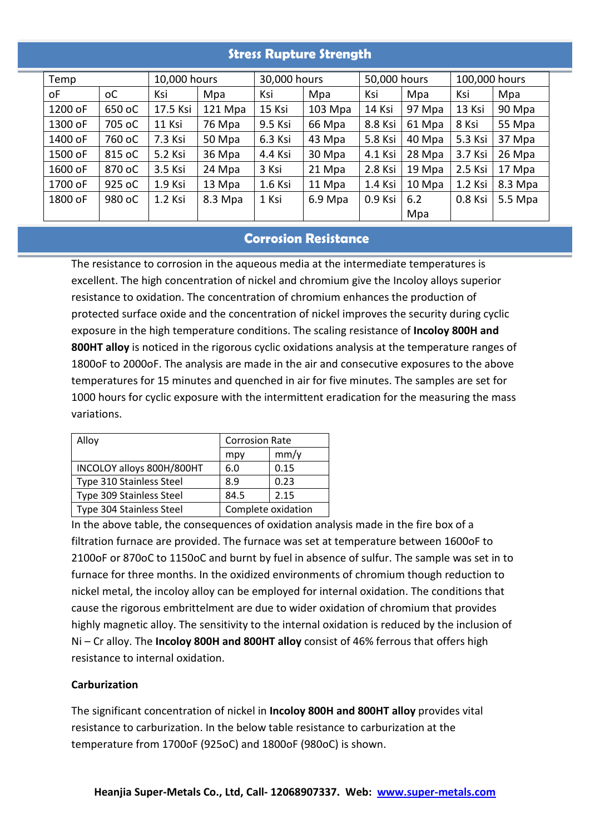## **Stress Rupture Strength**

| Temp    |                | 10,000 hours |         | 30,000 hours |           | 50,000 hours |        | 100,000 hours |           |
|---------|----------------|--------------|---------|--------------|-----------|--------------|--------|---------------|-----------|
| οF      | <sub>o</sub> C | Ksi          | Mpa     | Ksi          | Mpa       | Ksi          | Mpa    | Ksi           | Mpa       |
| 1200 oF | 650 oC         | 17.5 Ksi     | 121 Mpa | 15 Ksi       | $103$ Mpa | 14 Ksi       | 97 Mpa | 13 Ksi        | 90 Mpa    |
| 1300 oF | 705 oC         | 11 Ksi       | 76 Mpa  | 9.5 Ksi      | 66 Mpa    | 8.8 Ksi      | 61 Mpa | 8 Ksi         | 55 Mpa    |
| 1400 oF | 760 oC         | 7.3 Ksi      | 50 Mpa  | 6.3 Ksi      | 43 Mpa    | 5.8 Ksi      | 40 Mpa | 5.3 Ksi       | 37 Mpa    |
| 1500 oF | 815 oC         | 5.2 Ksi      | 36 Mpa  | 4.4 Ksi      | 30 Mpa    | 4.1 Ksi      | 28 Mpa | 3.7 Ksi       | 26 Mpa    |
| 1600 oF | 870 oC         | 3.5 Ksi      | 24 Mpa  | 3 Ksi        | 21 Mpa    | 2.8 Ksi      | 19 Mpa | 2.5 Ksi       | 17 Mpa    |
| 1700 oF | 925 oC         | 1.9 Ksi      | 13 Mpa  | 1.6 Ksi      | 11 Mpa    | 1.4 Ksi      | 10 Mpa | 1.2 Ksi       | 8.3 Mpa   |
| 1800 oF | 980 oC         | 1.2 Ksi      | 8.3 Mpa | 1 Ksi        | 6.9 Mpa   | 0.9 Ksi      | 6.2    | 0.8 Ksi       | $5.5$ Mpa |
|         |                |              |         |              |           |              | Mpa    |               |           |

#### **Corrosion Resistance**

The resistance to corrosion in the aqueous media at the intermediate temperatures is excellent. The high concentration of nickel and chromium give the Incoloy alloys superior resistance to oxidation. The concentration of chromium enhances the production of protected surface oxide and the concentration of nickel improves the security during cyclic exposure in the high temperature conditions. The scaling resistance of **Incoloy 800H and 800HT alloy** is noticed in the rigorous cyclic oxidations analysis at the temperature ranges of 1800oF to 2000oF. The analysis are made in the air and consecutive exposures to the above temperatures for 15 minutes and quenched in air for five minutes. The samples are set for 1000 hours for cyclic exposure with the intermittent eradication for the measuring the mass variations.

| Alloy                     | <b>Corrosion Rate</b> |      |
|---------------------------|-----------------------|------|
|                           | mpy                   | mm/y |
| INCOLOY alloys 800H/800HT | 6.0                   | 0.15 |
| Type 310 Stainless Steel  | 8.9                   | 0.23 |
| Type 309 Stainless Steel  | 84.5                  | 2.15 |
| Type 304 Stainless Steel  | Complete oxidation    |      |

In the above table, the consequences of oxidation analysis made in the fire box of a filtration furnace are provided. The furnace was set at temperature between 1600oF to 2100oF or 870oC to 1150oC and burnt by fuel in absence of sulfur. The sample was set in to furnace for three months. In the oxidized environments of chromium though reduction to nickel metal, the incoloy alloy can be employed for internal oxidation. The conditions that cause the rigorous embrittelment are due to wider oxidation of chromium that provides highly magnetic alloy. The sensitivity to the internal oxidation is reduced by the inclusion of Ni – Cr alloy. The **Incoloy 800H and 800HT alloy** consist of 46% ferrous that offers high resistance to internal oxidation.

#### **Carburization**

The significant concentration of nickel in **Incoloy 800H and 800HT alloy** provides vital resistance to carburization. In the below table resistance to carburization at the temperature from 1700oF (925oC) and 1800oF (980oC) is shown.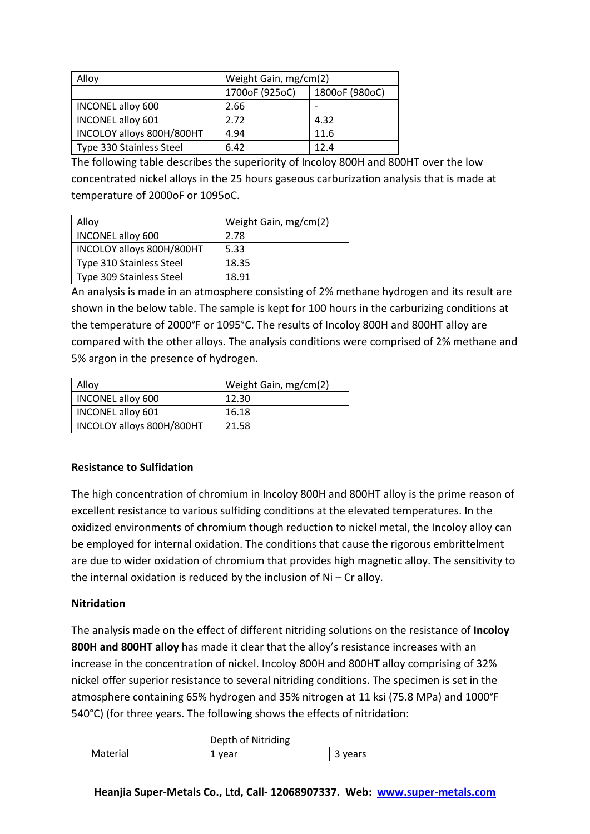| Alloy                     | Weight Gain, mg/cm(2) |                |  |
|---------------------------|-----------------------|----------------|--|
|                           |                       |                |  |
|                           | 1700oF (925oC)        | 1800oF (980oC) |  |
| INCONEL alloy 600         | 2.66                  |                |  |
| INCONEL alloy 601         | 2.72                  | 4.32           |  |
| INCOLOY alloys 800H/800HT | 4.94                  | 11.6           |  |
| Type 330 Stainless Steel  | 6.42                  | 12.4           |  |

The following table describes the superiority of Incoloy 800H and 800HT over the low concentrated nickel alloys in the 25 hours gaseous carburization analysis that is made at temperature of 2000oF or 1095oC.

| Alloy                     | Weight Gain, mg/cm(2) |
|---------------------------|-----------------------|
| <b>INCONEL alloy 600</b>  | 2.78                  |
| INCOLOY alloys 800H/800HT | 5.33                  |
| Type 310 Stainless Steel  | 18.35                 |
| Type 309 Stainless Steel  | 18.91                 |

An analysis is made in an atmosphere consisting of 2% methane hydrogen and its result are shown in the below table. The sample is kept for 100 hours in the carburizing conditions at the temperature of 2000°F or 1095°C. The results of Incoloy 800H and 800HT alloy are compared with the other alloys. The analysis conditions were comprised of 2% methane and 5% argon in the presence of hydrogen.

| Alloy                     | Weight Gain, mg/cm(2) |
|---------------------------|-----------------------|
| INCONEL alloy 600         | 12.30                 |
| <b>INCONEL alloy 601</b>  | 16.18                 |
| INCOLOY alloys 800H/800HT | 21.58                 |

### **Resistance to Sulfidation**

The high concentration of chromium in Incoloy 800H and 800HT alloy is the prime reason of excellent resistance to various sulfiding conditions at the elevated temperatures. In the oxidized environments of chromium though reduction to nickel metal, the Incoloy alloy can be employed for internal oxidation. The conditions that cause the rigorous embrittelment are due to wider oxidation of chromium that provides high magnetic alloy. The sensitivity to the internal oxidation is reduced by the inclusion of Ni – Cr alloy.

#### **Nitridation**

The analysis made on the effect of different nitriding solutions on the resistance of **Incoloy 800H and 800HT alloy** has made it clear that the alloy's resistance increases with an increase in the concentration of nickel. Incoloy 800H and 800HT alloy comprising of 32% nickel offer superior resistance to several nitriding conditions. The specimen is set in the atmosphere containing 65% hydrogen and 35% nitrogen at 11 ksi (75.8 MPa) and 1000°F 540°C) (for three years. The following shows the effects of nitridation:

|          | Depth of Nitriding |         |
|----------|--------------------|---------|
| Material | vear<br>∸          | vears ' |